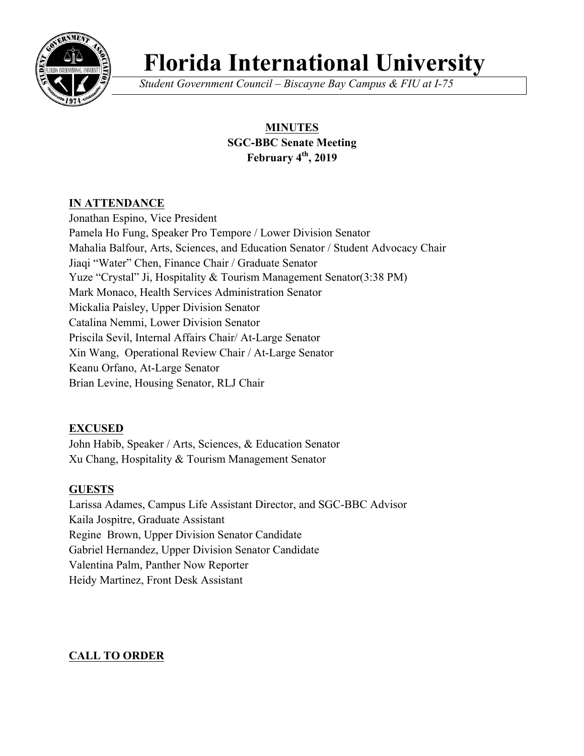

# **Florida International University**

*Student Government Council – Biscayne Bay Campus & FIU at I-75*

## **MINUTES SGC-BBC Senate Meeting February 4th, 2019**

## **IN ATTENDANCE**

Jonathan Espino, Vice President Pamela Ho Fung, Speaker Pro Tempore / Lower Division Senator Mahalia Balfour, Arts, Sciences, and Education Senator / Student Advocacy Chair Jiaqi "Water" Chen, Finance Chair / Graduate Senator Yuze "Crystal" Ji, Hospitality & Tourism Management Senator(3:38 PM) Mark Monaco, Health Services Administration Senator Mickalia Paisley, Upper Division Senator Catalina Nemmi, Lower Division Senator Priscila Sevil, Internal Affairs Chair/ At-Large Senator Xin Wang, Operational Review Chair / At-Large Senator Keanu Orfano, At-Large Senator Brian Levine, Housing Senator, RLJ Chair

## **EXCUSED**

John Habib, Speaker / Arts, Sciences, & Education Senator Xu Chang, Hospitality & Tourism Management Senator

## **GUESTS**

Larissa Adames, Campus Life Assistant Director, and SGC-BBC Advisor Kaila Jospitre, Graduate Assistant Regine Brown, Upper Division Senator Candidate Gabriel Hernandez, Upper Division Senator Candidate Valentina Palm, Panther Now Reporter Heidy Martinez, Front Desk Assistant

## **CALL TO ORDER**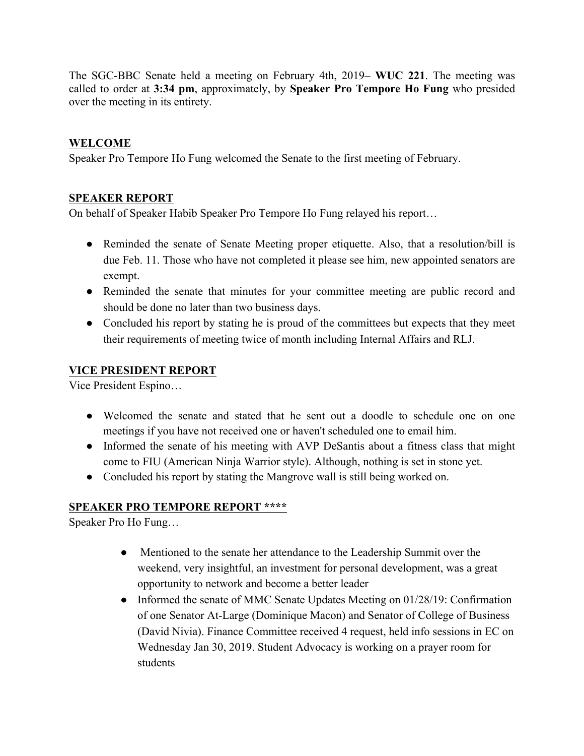The SGC-BBC Senate held a meeting on February 4th, 2019– **WUC 221**. The meeting was called to order at **3:34 pm**, approximately, by **Speaker Pro Tempore Ho Fung** who presided over the meeting in its entirety.

## **WELCOME**

Speaker Pro Tempore Ho Fung welcomed the Senate to the first meeting of February.

#### **SPEAKER REPORT**

On behalf of Speaker Habib Speaker Pro Tempore Ho Fung relayed his report…

- Reminded the senate of Senate Meeting proper etiquette. Also, that a resolution/bill is due Feb. 11. Those who have not completed it please see him, new appointed senators are exempt.
- Reminded the senate that minutes for your committee meeting are public record and should be done no later than two business days.
- Concluded his report by stating he is proud of the committees but expects that they meet their requirements of meeting twice of month including Internal Affairs and RLJ.

#### **VICE PRESIDENT REPORT**

Vice President Espino…

- Welcomed the senate and stated that he sent out a doodle to schedule one on one meetings if you have not received one or haven't scheduled one to email him.
- Informed the senate of his meeting with AVP DeSantis about a fitness class that might come to FIU (American Ninja Warrior style). Although, nothing is set in stone yet.
- Concluded his report by stating the Mangrove wall is still being worked on.

## **SPEAKER PRO TEMPORE REPORT \*\*\*\***

Speaker Pro Ho Fung…

- Mentioned to the senate her attendance to the Leadership Summit over the weekend, very insightful, an investment for personal development, was a great opportunity to network and become a better leader
- Informed the senate of MMC Senate Updates Meeting on 01/28/19: Confirmation of one Senator At-Large (Dominique Macon) and Senator of College of Business (David Nivia). Finance Committee received 4 request, held info sessions in EC on Wednesday Jan 30, 2019. Student Advocacy is working on a prayer room for students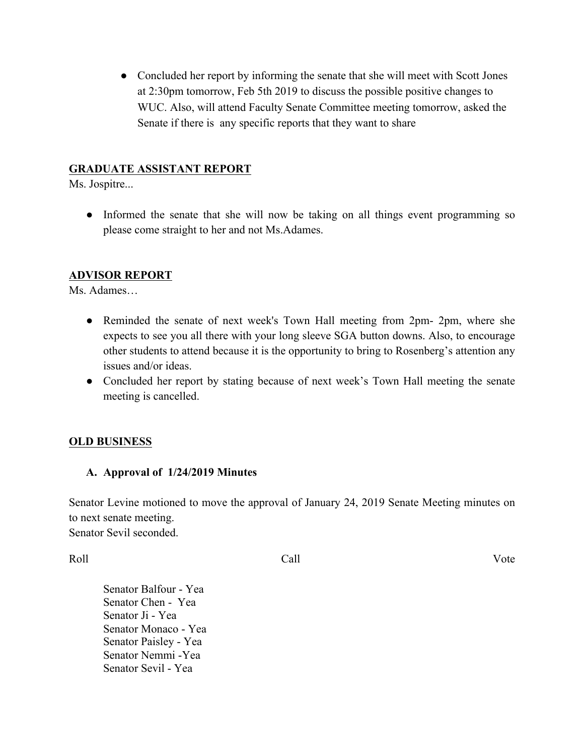• Concluded her report by informing the senate that she will meet with Scott Jones at 2:30pm tomorrow, Feb 5th 2019 to discuss the possible positive changes to WUC. Also, will attend Faculty Senate Committee meeting tomorrow, asked the Senate if there is any specific reports that they want to share

#### **GRADUATE ASSISTANT REPORT**

Ms. Jospitre...

• Informed the senate that she will now be taking on all things event programming so please come straight to her and not Ms.Adames.

#### **ADVISOR REPORT**

Ms. Adames…

- Reminded the senate of next week's Town Hall meeting from 2pm- 2pm, where she expects to see you all there with your long sleeve SGA button downs. Also, to encourage other students to attend because it is the opportunity to bring to Rosenberg's attention any issues and/or ideas.
- Concluded her report by stating because of next week's Town Hall meeting the senate meeting is cancelled.

#### **OLD BUSINESS**

#### **A. Approval of 1/24/2019 Minutes**

Senator Levine motioned to move the approval of January 24, 2019 Senate Meeting minutes on to next senate meeting. Senator Sevil seconded.

Roll Call Vote

Senator Balfour - Yea Senator Chen - Yea Senator Ji - Yea Senator Monaco - Yea Senator Paisley - Yea Senator Nemmi -Yea Senator Sevil - Yea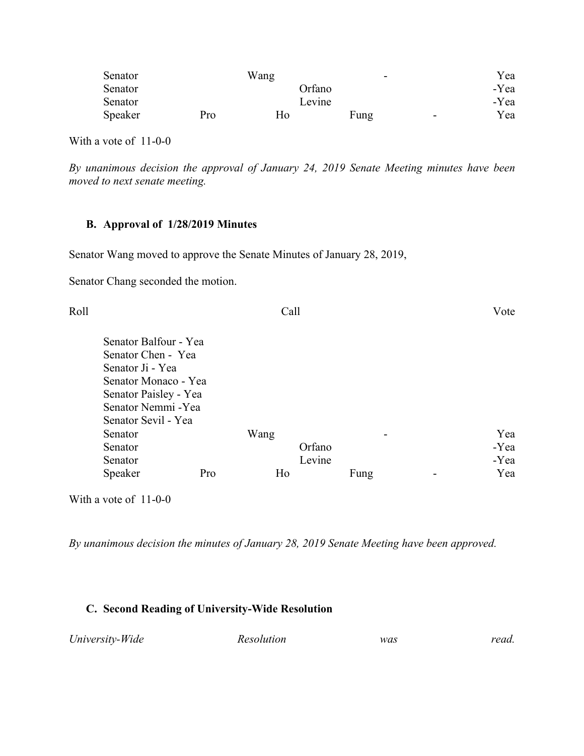| Senator | Wang      |        | $\overline{\phantom{0}}$ | Yea  |
|---------|-----------|--------|--------------------------|------|
| Senator |           | Orfano |                          | -Yea |
| Senator |           | Levine |                          | -Yea |
| Speaker | Ho<br>Pro | Fung   | $\overline{\phantom{a}}$ | Yea  |

With a vote of 11-0-0

*By unanimous decision the approval of January 24, 2019 Senate Meeting minutes have been moved to next senate meeting.* 

#### **B. Approval of 1/28/2019 Minutes**

Senator Wang moved to approve the Senate Minutes of January 28, 2019,

Senator Chang seconded the motion.

| Roll |                       |     | Call |        |      | Vote |
|------|-----------------------|-----|------|--------|------|------|
|      | Senator Balfour - Yea |     |      |        |      |      |
|      | Senator Chen - Yea    |     |      |        |      |      |
|      | Senator Ji - Yea      |     |      |        |      |      |
|      | Senator Monaco - Yea  |     |      |        |      |      |
|      | Senator Paisley - Yea |     |      |        |      |      |
|      | Senator Nemmi - Yea   |     |      |        |      |      |
|      | Senator Sevil - Yea   |     |      |        |      |      |
|      | Senator               |     | Wang |        |      | Yea  |
|      | Senator               |     |      | Orfano |      | -Yea |
|      | Senator               |     |      | Levine |      | -Yea |
|      | Speaker               | Pro | Ho   |        | Fung | Yea  |
|      |                       |     |      |        |      |      |

With a vote of 11-0-0

*By unanimous decision the minutes of January 28, 2019 Senate Meeting have been approved.*

#### **C. Second Reading of University-Wide Resolution**

| University-Wide<br>read.<br>Resolution<br>was |
|-----------------------------------------------|
|-----------------------------------------------|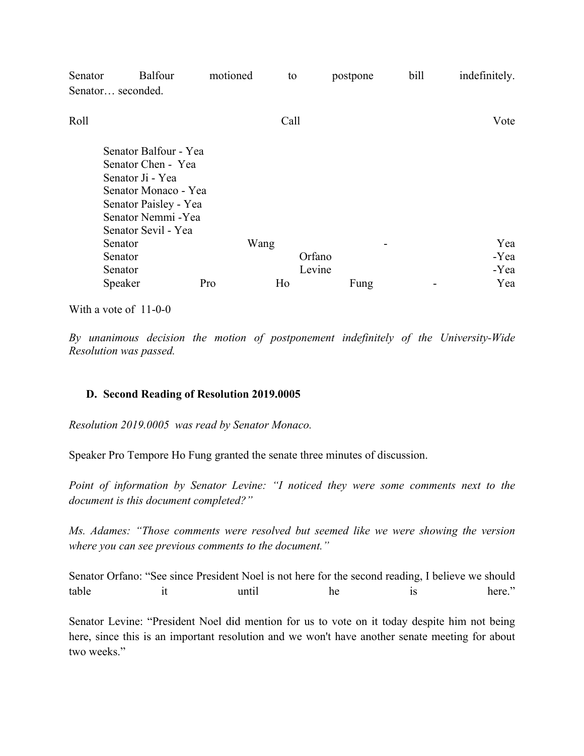| Senator | <b>Balfour</b>                                                                                                                                                 | motioned | to   | postpone | bill | indefinitely. |
|---------|----------------------------------------------------------------------------------------------------------------------------------------------------------------|----------|------|----------|------|---------------|
|         | Senator seconded.                                                                                                                                              |          |      |          |      |               |
| Roll    |                                                                                                                                                                |          | Call |          |      | Vote          |
|         | Senator Balfour - Yea<br>Senator Chen - Yea<br>Senator Ji - Yea<br>Senator Monaco - Yea<br>Senator Paisley - Yea<br>Senator Nemmi - Yea<br>Senator Sevil - Yea |          |      |          |      |               |
|         | Senator                                                                                                                                                        |          | Wang |          |      | Yea           |
|         | Senator                                                                                                                                                        |          |      | Orfano   |      | -Yea          |
|         | Senator                                                                                                                                                        |          |      | Levine   |      | -Yea          |
|         | Speaker                                                                                                                                                        | Pro      | Ho   | Fung     |      | Yea           |

With a vote of 11-0-0

*By unanimous decision the motion of postponement indefinitely of the University-Wide Resolution was passed.* 

#### **D. Second Reading of Resolution 2019.0005**

*Resolution 2019.0005 was read by Senator Monaco.* 

Speaker Pro Tempore Ho Fung granted the senate three minutes of discussion.

*Point of information by Senator Levine: "I noticed they were some comments next to the document is this document completed?"* 

*Ms. Adames: "Those comments were resolved but seemed like we were showing the version where you can see previous comments to the document."*

Senator Orfano: "See since President Noel is not here for the second reading, I believe we should table it until he is here."

Senator Levine: "President Noel did mention for us to vote on it today despite him not being here, since this is an important resolution and we won't have another senate meeting for about two weeks."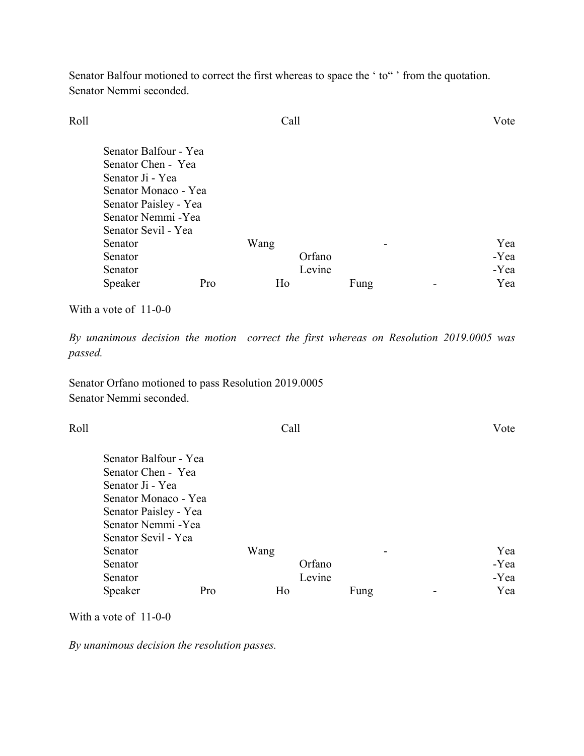Senator Balfour motioned to correct the first whereas to space the 'to" ' from the quotation. Senator Nemmi seconded.

| Roll |                                                                                                                                                                |     | Call       |                  |      | Vote                       |
|------|----------------------------------------------------------------------------------------------------------------------------------------------------------------|-----|------------|------------------|------|----------------------------|
|      | Senator Balfour - Yea<br>Senator Chen - Yea<br>Senator Ji - Yea<br>Senator Monaco - Yea<br>Senator Paisley - Yea<br>Senator Nemmi - Yea<br>Senator Sevil - Yea |     |            |                  |      |                            |
|      | Senator<br>Senator<br>Senator<br>Speaker                                                                                                                       | Pro | Wang<br>Ho | Orfano<br>Levine | Fung | Yea<br>-Yea<br>-Yea<br>Yea |

With a vote of 11-0-0

*By unanimous decision the motion correct the first whereas on Resolution 2019.0005 was passed.* 

Senator Orfano motioned to pass Resolution 2019.0005 Senator Nemmi seconded.

| Roll |                       |     | Call |        | Vote |
|------|-----------------------|-----|------|--------|------|
|      | Senator Balfour - Yea |     |      |        |      |
|      | Senator Chen - Yea    |     |      |        |      |
|      | Senator Ji - Yea      |     |      |        |      |
|      | Senator Monaco - Yea  |     |      |        |      |
|      | Senator Paisley - Yea |     |      |        |      |
|      | Senator Nemmi - Yea   |     |      |        |      |
|      | Senator Sevil - Yea   |     |      |        |      |
|      | Senator               |     | Wang |        | Yea  |
|      | Senator               |     |      | Orfano | -Yea |
|      | Senator               |     |      | Levine | -Yea |
|      | Speaker               | Pro | Ho   | Fung   | Yea  |

With a vote of 11-0-0

*By unanimous decision the resolution passes.*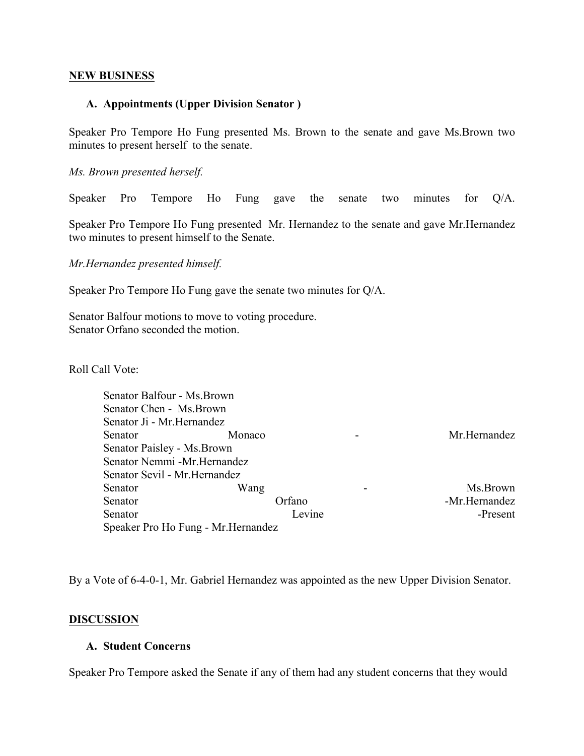#### **NEW BUSINESS**

#### **A. Appointments (Upper Division Senator )**

Speaker Pro Tempore Ho Fung presented Ms. Brown to the senate and gave Ms.Brown two minutes to present herself to the senate.

*Ms. Brown presented herself.*

Speaker Pro Tempore Ho Fung gave the senate two minutes for Q/A.

Speaker Pro Tempore Ho Fung presented Mr. Hernandez to the senate and gave Mr.Hernandez two minutes to present himself to the Senate.

*Mr.Hernandez presented himself.*

Speaker Pro Tempore Ho Fung gave the senate two minutes for Q/A.

Senator Balfour motions to move to voting procedure. Senator Orfano seconded the motion.

Roll Call Vote:

| Senator Balfour - Ms. Brown   |                                     |        |               |
|-------------------------------|-------------------------------------|--------|---------------|
| Senator Chen - Ms. Brown      |                                     |        |               |
| Senator Ji - Mr. Hernandez    |                                     |        |               |
| Senator                       | Monaco                              |        | Mr.Hernandez  |
| Senator Paisley - Ms. Brown   |                                     |        |               |
| Senator Nemmi -Mr.Hernandez   |                                     |        |               |
| Senator Sevil - Mr. Hernandez |                                     |        |               |
| Senator                       | Wang                                |        | Ms.Brown      |
| Senator                       |                                     | Orfano | -Mr.Hernandez |
| Senator                       |                                     | Levine | -Present      |
|                               | Speaker Pro Ho Fung - Mr. Hernandez |        |               |

By a Vote of 6-4-0-1, Mr. Gabriel Hernandez was appointed as the new Upper Division Senator.

#### **DISCUSSION**

#### **A. Student Concerns**

Speaker Pro Tempore asked the Senate if any of them had any student concerns that they would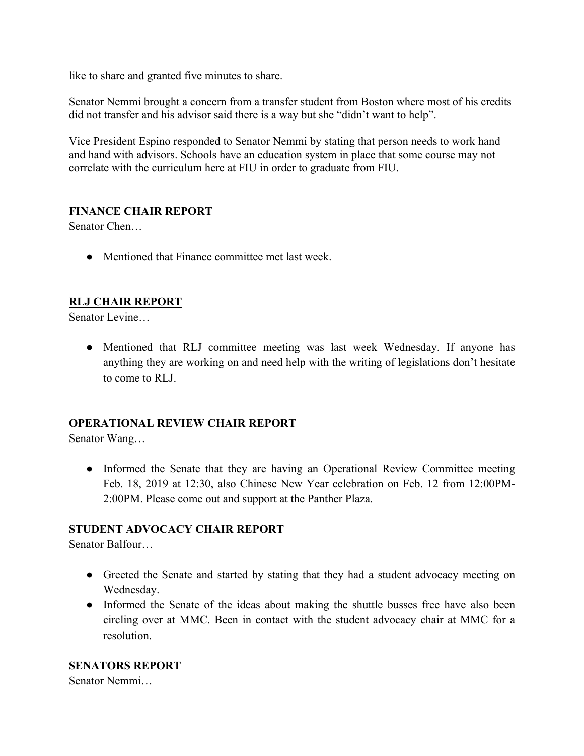like to share and granted five minutes to share.

Senator Nemmi brought a concern from a transfer student from Boston where most of his credits did not transfer and his advisor said there is a way but she "didn't want to help".

Vice President Espino responded to Senator Nemmi by stating that person needs to work hand and hand with advisors. Schools have an education system in place that some course may not correlate with the curriculum here at FIU in order to graduate from FIU.

#### **FINANCE CHAIR REPORT**

Senator Chen…

• Mentioned that Finance committee met last week.

#### **RLJ CHAIR REPORT**

Senator Levine…

• Mentioned that RLJ committee meeting was last week Wednesday. If anyone has anything they are working on and need help with the writing of legislations don't hesitate to come to RLJ.

#### **OPERATIONAL REVIEW CHAIR REPORT**

Senator Wang…

• Informed the Senate that they are having an Operational Review Committee meeting Feb. 18, 2019 at 12:30, also Chinese New Year celebration on Feb. 12 from 12:00PM-2:00PM. Please come out and support at the Panther Plaza.

#### **STUDENT ADVOCACY CHAIR REPORT**

Senator Balfour…

- Greeted the Senate and started by stating that they had a student advocacy meeting on Wednesday.
- Informed the Senate of the ideas about making the shuttle busses free have also been circling over at MMC. Been in contact with the student advocacy chair at MMC for a resolution.

#### **SENATORS REPORT**

Senator Nemmi…